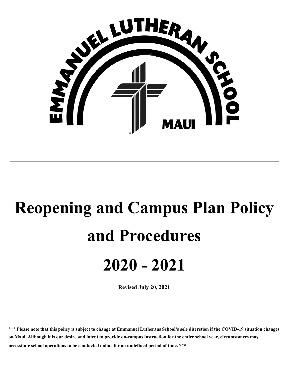

# **Reopening and Campus Plan Policy and Procedures 2020 - 2021**

**Revised July 20, 2021**

\*\*\* Please note that this policy is subject to change at Emmanuel Lutherans School's sole discretion if the COVID-19 situation changes on Maui. Although it is our desire and intent to provide on-campus instruction for the entire school year, circumstances may **necessitate school operations to be conducted online for an undefined period of time. \*\*\***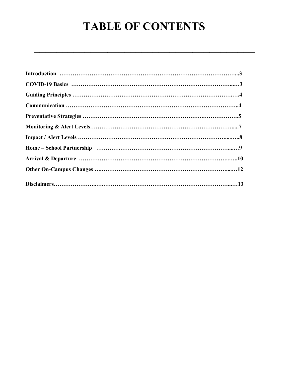# **TABLE OF CONTENTS**

**\_\_\_\_\_\_\_\_\_\_\_\_\_\_\_\_\_\_\_\_\_\_\_\_\_\_\_\_\_\_\_\_\_\_\_\_\_\_\_**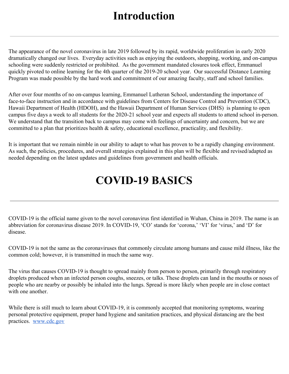### **Introduction**

The appearance of the novel coronavirus in late 2019 followed by its rapid, worldwide proliferation in early 2020 dramatically changed our lives. Everyday activities such as enjoying the outdoors, shopping, working, and on-campus schooling were suddenly restricted or prohibited. As the government mandated closures took effect, Emmanuel quickly pivoted to online learning for the 4th quarter of the 2019-20 school year. Our successful Distance Learning Program was made possible by the hard work and commitment of our amazing faculty, staff and school families.

After over four months of no on-campus learning, Emmanuel Lutheran School, understanding the importance of face-to-face instruction and in accordance with guidelines from Centers for Disease Control and Prevention (CDC), Hawaii Department of Health (HDOH), and the Hawaii Department of Human Services (DHS) is planning to open campus five days a week to all students for the 2020-21 school year and expects all students to attend school in-person. We understand that the transition back to campus may come with feelings of uncertainty and concern, but we are committed to a plan that prioritizes health & safety, educational excellence, practicality, and flexibility.

It is important that we remain nimble in our ability to adapt to what has proven to be a rapidly changing environment. As such, the policies, procedures, and overall strategies explained in this plan will be flexible and revised/adapted as needed depending on the latest updates and guidelines from government and health officials.

# **COVID-19 BASICS**

COVID-19 is the official name given to the novel coronavirus first identified in Wuhan, China in 2019. The name is an abbreviation for coronavirus disease 2019. In COVID-19, 'CO' stands for 'corona,' 'VI' for 'virus,' and 'D' for disease.

COVID-19 is not the same as the coronaviruses that commonly circulate among humans and cause mild illness, like the common cold; however, it is transmitted in much the same way.

The virus that causes COVID-19 is thought to spread mainly from person to person, primarily through respiratory droplets produced when an infected person coughs, sneezes, or talks. These droplets can land in the mouths or noses of people who are nearby or possibly be inhaled into the lungs. Spread is more likely when people are in close contact with one another.

While there is still much to learn about COVID-19, it is commonly accepted that monitoring symptoms, wearing personal protective equipment, proper hand hygiene and sanitation practices, and physical distancing are the best practices. [www.cdc.gov](http://www.cdc.gov/)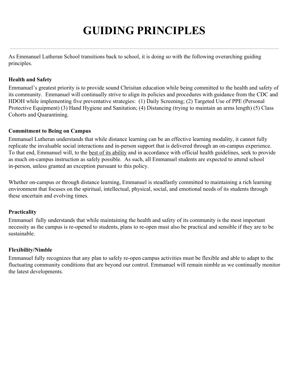# **GUIDING PRINCIPLES**

As Emmanuel Lutheran School transitions back to school, it is doing so with the following overarching guiding principles.

#### **Health and Safety**

Emmanuel's greatest priority is to provide sound Chrisitan education while being committed to the health and safety of its community. Emmanuel will continually strive to align its policies and procedures with guidance from the CDC and HDOH while implementing five preventative strategies: (1) Daily Screening; (2) Targeted Use of PPE (Personal Protective Equipment) (3) Hand Hygiene and Sanitation; (4) Distancing (trying to maintain an arms length) (5) Class Cohorts and Quarantining.

#### **Commitment to Being on Campus**

Emmanuel Lutheran understands that while distance learning can be an effective learning modality, it cannot fully replicate the invaluable social interactions and in-person support that is delivered through an on-campus experience. To that end, Emmanuel will, to the best of its ability and in accordance with official health guidelines, seek to provide as much on-campus instruction as safely possible. As such, all Emmanuel students are expected to attend school in-person, unless granted an exception pursuant to this policy.

Whether on-campus or through distance learning, Emmanuel is steadfastly committed to maintaining a rich learning environment that focuses on the spiritual, intellectual, physical, social, and emotional needs of its students through these uncertain and evolving times.

#### **Practicality**

Emmanuel fully understands that while maintaining the health and safety of its community is the most important necessity as the campus is re-opened to students, plans to re-open must also be practical and sensible if they are to be sustainable.

#### **Flexibility/Nimble**

Emmanuel fully recognizes that any plan to safely re-open campus activities must be flexible and able to adapt to the fluctuating community conditions that are beyond our control. Emmanuel will remain nimble as we continually monitor the latest developments.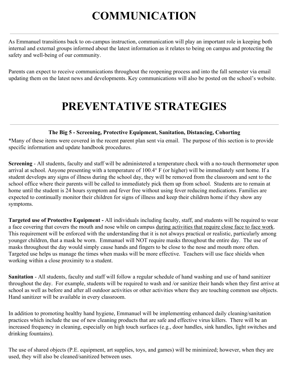# **COMMUNICATION**

As Emmanuel transitions back to on-campus instruction, communication will play an important role in keeping both internal and external groups informed about the latest information as it relates to being on campus and protecting the safety and well-being of our community.

Parents can expect to receive communications throughout the reopening process and into the fall semester via email updating them on the latest news and developments. Key communications will also be posted on the school's website.

# **PREVENTATIVE STRATEGIES**

#### **The Big 5 - Screening, Protective Equipment, Sanitation, Distancing, Cohorting**

\*Many of these items were covered in the recent parent plan sent via email. The purpose of this section is to provide specific information and update handbook procedures.

**Screening** - All students, faculty and staff will be administered a temperature check with a no-touch thermometer upon arrival at school. Anyone presenting with a temperature of 100.4° F (or higher) will be immediately sent home. If a student develops any signs of illness during the school day, they will be removed from the classroom and sent to the school office where their parents will be called to immediately pick them up from school. Students are to remain at home until the student is 24 hours symptom and fever free without using fever reducing medications. Families are expected to continually monitor their children for signs of illness and keep their children home if they show any symptoms.

**Targeted use of Protective Equipment -** All individuals including faculty, staff, and students will be required to wear a face covering that covers the mouth and nose while on campus during activities that require close face to face work. This requirement will be enforced with the understanding that it is not always practical or realistic, particularly among younger children, that a mask be worn. Emmanuel will NOT require masks throughout the entire day. The use of masks throughout the day would simply cause hands and fingers to be close to the nose and mouth more often. Targeted use helps us manage the times when masks will be more effective. Teachers will use face shields when working within a close proximity to a student.

**Sanitation** - All students, faculty and staff will follow a regular schedule of hand washing and use of hand sanitizer throughout the day. For example, students will be required to wash and /or sanitize their hands when they first arrive at school as well as before and after all outdoor activities or other activities where they are touching common use objects. Hand sanitizer will be available in every classroom.

In addition to promoting healthy hand hygiene, Emmanuel will be implementing enhanced daily cleaning/sanitation practices which include the use of new cleaning products that are safe and effective virus killers. There will be an increased frequency in cleaning, especially on high touch surfaces (e.g., door handles, sink handles, light switches and drinking fountains).

The use of shared objects (P.E. equipment, art supplies, toys, and games) will be minimized; however, when they are used, they will also be cleaned/sanitized between uses.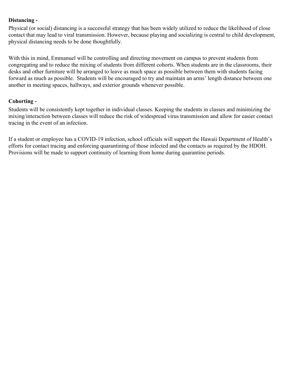#### **Distancing -**

Physical (or social) distancing is a successful strategy that has been widely utilized to reduce the likelihood of close contact that may lead to viral transmission. However, because playing and socializing is central to child development, physical distancing needs to be done thoughtfully.

With this in mind, Emmanuel will be controlling and directing movement on campus to prevent students from congregating and to reduce the mixing of students from different cohorts. When students are in the classrooms, their desks and other furniture will be arranged to leave as much space as possible between them with students facing forward as much as possible. Students will be encouraged to try and maintain an arms' length distance between one another in meeting spaces, hallways, and exterior grounds whenever possible.

#### **Cohorting -**

Students will be consistently kept together in individual classes. Keeping the students in classes and minimizing the mixing/interaction between classes will reduce the risk of widespread virus transmission and allow for easier contact tracing in the event of an infection.

If a student or employee has a COVID-19 infection, school officials will support the Hawaii Department of Health's efforts for contact tracing and enforcing quarantining of those infected and the contacts as required by the HDOH. Provisions will be made to support continuity of learning from home during quarantine periods.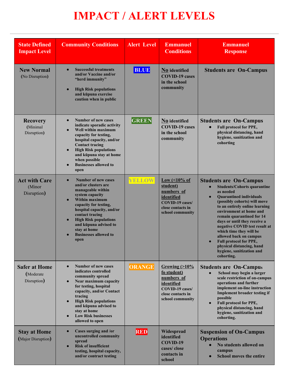# **IMPACT / ALERT LEVELS**

| <b>State Defined</b><br><b>Impact Level</b>      | <b>Community Conditions</b>                                                                                                                                                                                                                                                                                                                   | <b>Alert Level</b> | <b>Emmanuel</b><br><b>Conditions</b>                                                                                        | <b>Emmanuel</b><br><b>Response</b>                                                                                                                                                                                                                                                                                                                                                                                                                                                             |
|--------------------------------------------------|-----------------------------------------------------------------------------------------------------------------------------------------------------------------------------------------------------------------------------------------------------------------------------------------------------------------------------------------------|--------------------|-----------------------------------------------------------------------------------------------------------------------------|------------------------------------------------------------------------------------------------------------------------------------------------------------------------------------------------------------------------------------------------------------------------------------------------------------------------------------------------------------------------------------------------------------------------------------------------------------------------------------------------|
| <b>New Normal</b><br>(No Disruption)             | <b>Successful treatments</b><br>$\bullet$<br>and/or Vaccine and/or<br>"herd immunity"<br><b>High Risk populations</b><br>$\bullet$<br>and kūpuna exercise<br>caution when in public                                                                                                                                                           | <b>BLUE</b>        | No identified<br><b>COVID-19 cases</b><br>in the school<br>community                                                        | <b>Students are On-Campus</b>                                                                                                                                                                                                                                                                                                                                                                                                                                                                  |
| <b>Recovery</b><br>(Minimal<br>Disruption)       | <b>Number of new cases</b><br>$\bullet$<br>indicate sporadic activity<br>Well within maximum<br>$\bullet$<br>capacity for testing,<br>hospital capacity, and/or<br><b>Contact tracing</b><br><b>High Risk populations</b><br>$\bullet$<br>and kūpuna stay at home<br>when possible<br><b>Businesses allowed to</b><br>open                    | <b>GREEN</b>       | No identified<br><b>COVID-19 cases</b><br>in the school<br>community                                                        | <b>Students are On-Campus</b><br><b>Full protocol for PPE,</b><br>physical distancing, hand<br>hygiene, sanitization and<br>cohorting                                                                                                                                                                                                                                                                                                                                                          |
| <b>Act with Care</b><br>(Minor<br>Disruption)    | <b>Number of new cases</b><br>$\bullet$<br>and/or clusters are<br>manageable within<br>system capacity<br>Within maximum<br>$\bullet$<br>capacity for testing,<br>hospital capacity, and/or<br>contact tracing<br><b>High Risk populations</b><br>$\bullet$<br>and kūpuna advised to<br>stay at home<br><b>Businesses allowed to</b><br>open  | YELLOW             | Low $($ < 10% of<br>student)<br>numbers of<br>identified<br><b>COVID-19 cases/</b><br>close contacts in<br>school community | <b>Students are On-Campus</b><br><b>Students/Cohorts quarantine</b><br>$\bullet$<br>as needed<br><b>Quarantined individuals</b><br>$\bullet$<br>(possibly cohorts) will move<br>to an entirely online learning<br>environment at home and<br>remain quarantined for 14<br>days or until they receive a<br>negative COVID test result at<br>which time they will be<br>allowed back on campus<br>Full protocol for PPE,<br>physical distancing, hand<br>hygiene, sanitization and<br>cohorting. |
| <b>Safer at Home</b><br>(Moderate<br>Disruption) | <b>Number of new cases</b><br>$\bullet$<br>indicates controlled<br>community spread<br>Near maximum capacity<br>$\bullet$<br>for testing, hospital<br>capacity, and/or Contact<br>tracing<br><b>High Risk populations</b><br>$\bullet$<br>and kūpuna advised to<br>stay at home<br><b>Low Risk businesses</b><br>$\bullet$<br>allowed to open | <b>ORANGE</b>      | Growing $(>10\%$<br>fo student)<br>numbers of<br>identified<br>COVID-19 cases/<br>close contacts in<br>school community     | <b>Students are On-Campus</b><br>School may begin a larger<br>scale restriction of on-campus<br>operations and further<br>implement on-line instruction<br><b>Implement broader testing if</b><br>possible<br>Full protocol for PPE,<br>physical distancing, hand<br>hygiene, sanitization and<br>cohorting.                                                                                                                                                                                   |
| <b>Stay at Home</b><br>(Major Disruption)        | Cases surging and /or<br>$\bullet$<br>uncontrolled community<br>spread<br><b>Risk of insufficient</b><br>$\bullet$<br>testing, hospital capacity,<br>and/or contract testing                                                                                                                                                                  | <b>RED</b>         | Widespread<br>identified<br>COVID-19<br>cases/close<br>contacts in<br>school                                                | <b>Suspension of On-Campus</b><br><b>Operations</b><br>No students allowed on<br>campus<br><b>School moves the entire</b>                                                                                                                                                                                                                                                                                                                                                                      |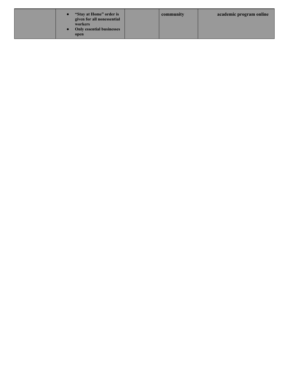| "Stay at Home" order is<br>given for all nonessential<br>workers<br><b>Only essential businesses</b><br>open | community | academic program online |
|--------------------------------------------------------------------------------------------------------------|-----------|-------------------------|
|                                                                                                              |           |                         |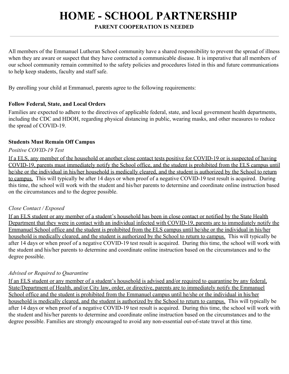# **HOME - SCHOOL PARTNERSHIP**

#### **PARENT COOPERATION IS NEEDED**

All members of the Emmanuel Lutheran School community have a shared responsibility to prevent the spread of illness when they are aware or suspect that they have contracted a communicable disease. It is imperative that all members of our school community remain committed to the safety policies and procedures listed in this and future communications to help keep students, faculty and staff safe.

By enrolling your child at Emmanuel, parents agree to the following requirements:

#### **Follow Federal, State, and Local Orders**

Families are expected to adhere to the directives of applicable federal, state, and local government health departments, including the CDC and HDOH, regarding physical distancing in public, wearing masks, and other measures to reduce the spread of COVID-19.

#### **Students Must Remain Off Campus**

#### *Positive COVID-19 Test*

If a ELS, any member of the household or another close contact tests positive for COVID-19 or is suspected of having COVID-19, parents must immediately notify the School office, and the student is prohibited from the ELS campus until he/she or the individual in his/her household is medically cleared, and the student is authorized by the School to return to campus. This will typically be after 14 days or when proof of a negative COVID-19 test result is acquired. During this time, the school will work with the student and his/her parents to determine and coordinate online instruction based on the circumstances and to the degree possible.

#### *Close Contact / Exposed*

If an ELS student or any member of a student's household has been in close contact or notified by the State Health Department that they were in contact with an individual infected with COVID-19, parents are to immediately notify the Emmanuel School office and the student is prohibited from the ELS campus until he/she or the individual in his/her household is medically cleared, and the student is authorized by the School to return to campus. This will typically be after 14 days or when proof of a negative COVID-19 test result is acquired. During this time, the school will work with the student and his/her parents to determine and coordinate online instruction based on the circumstances and to the degree possible.

#### *Advised or Required to Quarantine*

If an ELS student or any member of a student's household is advised and/or required to quarantine by any federal, State/Department of Health, and/or City law, order, or directive, parents are to immediately notify the Emmanuel School office and the student is prohibited from the Emmanuel campus until he/she or the individual in his/her household is medically cleared, and the student is authorized by the School to return to campus. This will typically be after 14 days or when proof of a negative COVID-19 test result is acquired. During this time, the school will work with the student and his/her parents to determine and coordinate online instruction based on the circumstances and to the degree possible. Families are strongly encouraged to avoid any non-essential out-of-state travel at this time.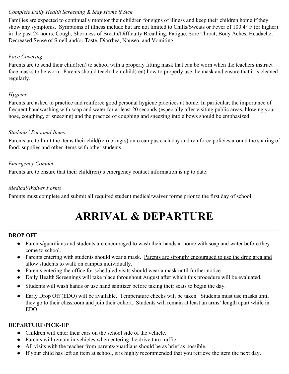#### *Complete Daily Health Screening & Stay Home if Sick*

Families are expected to continually monitor their children for signs of illness and keep their children home if they show any symptoms. Symptoms of illness include but are not limited to Chills/Sweats or Fever of 100.4° F (or higher) in the past 24 hours, Cough, Shortness of Breath/Difficulty Breathing, Fatigue, Sore Throat, Body Aches, Headache, Decreased Sense of Smell and/or Taste, Diarrhea, Nausea, and Vomiting.

#### *Face Covering*

Parents are to send their child(ren) to school with a properly fitting mask that can be worn when the teachers instruct face masks to be worn. Parents should teach their child(ren) how to properly use the mask and ensure that it is cleaned regularly.

#### *Hygiene*

Parents are asked to practice and reinforce good personal hygiene practices at home. In particular, the importance of frequent handwashing with soap and water for at least 20 seconds (especially after visiting public areas, blowing your nose, coughing, or sneezing) and the practice of coughing and sneezing into elbows should be emphasized.

#### *Students' Personal Items*

Parents are to limit the items their child(ren) bring(s) onto campus each day and reinforce policies around the sharing of food, supplies and other items with other students.

#### *Emergency Contact*

Parents are to ensure that their child(ren)'s emergency contact information is up to date.

#### *Medical/Waiver Forms*

Parents must complete and submit all required student medical/waiver forms prior to the first day of school.

# **ARRIVAL & DEPARTURE**

\_\_\_\_\_\_\_\_\_\_\_\_\_\_\_\_\_\_\_\_\_\_\_\_\_\_\_\_\_\_\_\_\_\_\_\_\_\_\_\_\_\_\_\_\_\_\_\_\_\_\_\_\_\_\_\_\_\_\_\_\_\_\_\_\_\_\_\_\_\_\_\_\_\_\_\_\_\_\_\_\_\_\_\_\_\_\_\_\_\_\_\_\_\_\_

#### **DROP OFF**

- Parents/guardians and students are encouraged to wash their hands at home with soap and water before they come to school.
- Parents entering with students should wear a mask. Parents are strongly encouraged to use the drop area and allow students to walk on campus individually.
- Parents entering the office for scheduled visits should wear a mask until further notice.
- Daily Health Screenings will take place throughout August after which this procedure will be evaluated.
- Students will wash hands or use hand sanitizer before taking their seats to begin the day.
- Early Drop Off (EDO) will be available. Temperature checks will be taken. Students must use masks until they go to their classroom and join their cohort. Students will remain at least an arms' length apart while in EDO.

#### **DEPARTURE/PICK-UP**

- Children will enter their cars on the school side of the vehicle.
- Parents will remain in vehicles when entering the drive thru traffic.
- All visits with the teacher from parents/guardians should be as brief as possible.
- If your child has left an item at school, it is highly recommended that you retrieve the item the next day.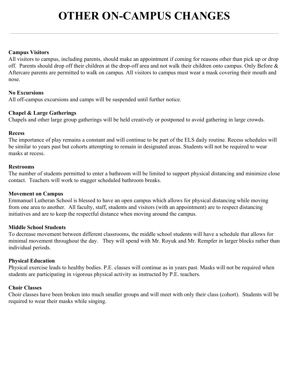# **OTHER ON-CAMPUS CHANGES**

#### **Campus Visitors**

All visitors to campus, including parents, should make an appointment if coming for reasons other than pick up or drop off. Parents should drop off their children at the drop-off area and not walk their children onto campus. Only Before & Aftercare parents are permitted to walk on campus. All visitors to campus must wear a mask covering their mouth and nose.

#### **No Excursions**

All off-campus excursions and camps will be suspended until further notice.

#### **Chapel & Large Gatherings**

Chapels and other large group gatherings will be held creatively or postponed to avoid gathering in large crowds.

#### **Recess**

The importance of play remains a constant and will continue to be part of the ELS daily routine. Recess schedules will be similar to years past but cohorts attempting to remain in designated areas. Students will not be required to wear masks at recess.

#### **Restrooms**

The number of students permitted to enter a bathroom will be limited to support physical distancing and minimize close contact. Teachers will work to stagger scheduled bathroom breaks.

#### **Movement on Campus**

Emmanuel Lutheran School is blessed to have an open campus which allows for physical distancing while moving from one area to another. All faculty, staff, students and visitors (with an appointment) are to respect distancing initiatives and are to keep the respectful distance when moving around the campus.

#### **Middle School Students**

To decrease movement between different classrooms, the middle school students will have a schedule that allows for minimal movement throughout the day. They will spend with Mr. Royuk and Mr. Rempfer in larger blocks rather than individual periods.

#### **Physical Education**

Physical exercise leads to healthy bodies. P.E. classes will continue as in years past. Masks will not be required when students are participating in vigorous physical activity as instructed by P.E. teachers.

#### **Choir Classes**

Choir classes have been broken into much smaller groups and will meet with only their class (cohort). Students will be required to wear their masks while singing.